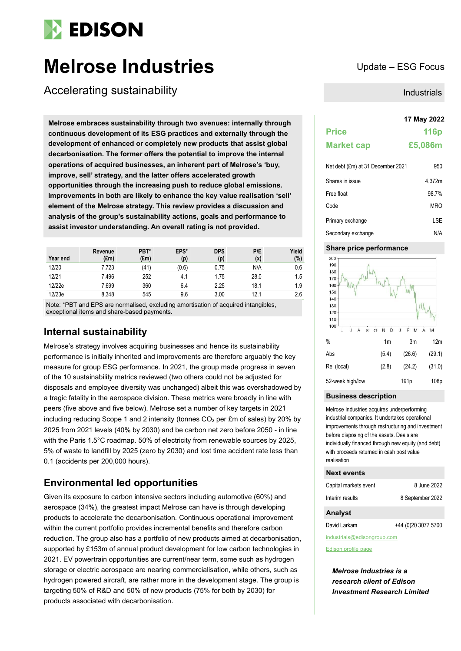

# **Melrose Industries** Update – ESG Focus

Accelerating sustainability

**17 May 2022 Melrose embraces sustainability through two avenues: internally through continuous development of its ESG practices and externally through the development of enhanced or completely new products that assist global decarbonisation. The former offers the potential to improve the internal operations of acquired businesses, an inherent part of Melrose's 'buy, improve, sell' strategy, and the latter offers accelerated growth opportunities through the increasing push to reduce global emissions. Improvements in both are likely to enhance the key value realisation 'sell' element of the Melrose strategy. This review provides a discussion and analysis of the group's sustainability actions, goals and performance to assist investor understanding. An overall rating is not provided.**

| Year end | Revenue<br>(£m) | PBT*<br>$(\text{Em})$ | EPS*<br>(p) | <b>DPS</b><br>(p) | P/E<br>(x) | Yield<br>(%) |
|----------|-----------------|-----------------------|-------------|-------------------|------------|--------------|
| 12/20    | 7,723           | (41)                  | (0.6)       | 0.75              | N/A        | 0.6          |
| 12/21    | 7.496           | 252                   | 4.1         | 1.75              | 28.0       | 1.5          |
| 12/22e   | 7,699           | 360                   | 6.4         | 2.25              | 18.1       | 1.9          |
| 12/23e   | 8.348           | 545                   | 9.6         | 3.00              | 12.1       | 2.6          |

Note: \*PBT and EPS are normalised, excluding amortisation of acquired intangibles, exceptional items and share-based payments.

# **Internal sustainability**

Melrose's strategy involves acquiring businesses and hence its sustainability performance is initially inherited and improvements are therefore arguably the key measure for group ESG performance. In 2021, the group made progress in seven of the 10 sustainability metrics reviewed (two others could not be adjusted for disposals and employee diversity was unchanged) albeit this was overshadowed by a tragic fatality in the aerospace division. These metrics were broadly in line with peers (five above and five below). Melrose set a number of key targets in 2021 including reducing Scope 1 and 2 intensity (tonnes  $CO<sub>2</sub>$  per £m of sales) by 20% by 2025 from 2021 levels (40% by 2030) and be carbon net zero before 2050 - in line with the Paris 1.5°C roadmap. 50% of electricity from renewable sources by 2025, 5% of waste to landfill by 2025 (zero by 2030) and lost time accident rate less than 0.1 (accidents per 200,000 hours).

# **Environmental led opportunities**

Given its exposure to carbon intensive sectors including automotive (60%) and aerospace (34%), the greatest impact Melrose can have is through developing products to accelerate the decarbonisation. Continuous operational improvement within the current portfolio provides incremental benefits and therefore carbon reduction. The group also has a portfolio of new products aimed at decarbonisation, supported by £153m of annual product development for low carbon technologies in 2021. EV powertrain opportunities are current/near term, some such as hydrogen storage or electric aerospace are nearing commercialisation, while others, such as hydrogen powered aircraft, are rather more in the development stage. The group is targeting 50% of R&D and 50% of new products (75% for both by 2030) for products associated with decarbonisation.

Industrials

# **Price 116p Market cap £5,086m**

| Net debt (£m) at 31 December 2021 | 950    |
|-----------------------------------|--------|
| Shares in issue                   | 4.372m |
| Free float                        | 98.7%  |
| Code                              | MRO    |
| Primary exchange                  | LSE    |
| Secondary exchange                | N/A    |

#### **Share price performance**



#### **Business description**

Melrose Industries acquires underperforming industrial companies. It undertakes operational improvements through restructuring and investment before disposing of the assets. Deals are individually financed through new equity (and debt) with proceeds returned in cash post value realisation

#### **Next events**

| Capital markets event | 8 June 2022      |
|-----------------------|------------------|
| Interim results       | 8 September 2022 |

#### **Analyst**

David Larkam +44 (0)20 3077 5700

industrials@edisongroup.com

[Edison profile page](http://www.edisoninvestmentresearch.co.uk/)

*Melrose Industries is a research client of Edison Investment Research Limited*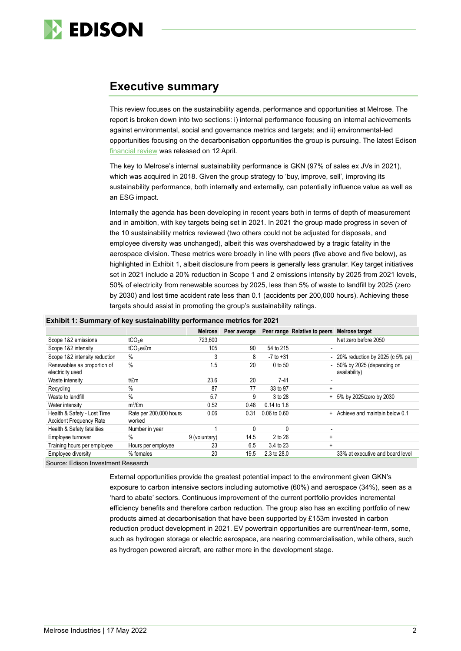

# **Executive summary**

This review focuses on the sustainability agenda, performance and opportunities at Melrose. The report is broken down into two sections: i) internal performance focusing on internal achievements against environmental, social and governance metrics and targets; and ii) environmental-led opportunities focusing on the decarbonisation opportunities the group is pursuing. The latest Edison [financial review](https://www.edisongroup.com/publication/short-term-trading-versus-long-term-value-creation/30778/) was released on 12 April.

The key to Melrose's internal sustainability performance is GKN (97% of sales ex JVs in 2021), which was acquired in 2018. Given the group strategy to 'buy, improve, sell', improving its sustainability performance, both internally and externally, can potentially influence value as well as an ESG impact.

Internally the agenda has been developing in recent years both in terms of depth of measurement and in ambition, with key targets being set in 2021. In 2021 the group made progress in seven of the 10 sustainability metrics reviewed (two others could not be adjusted for disposals, and employee diversity was unchanged), albeit this was overshadowed by a tragic fatality in the aerospace division. These metrics were broadly in line with peers (five above and five below), as highlighted in Exhibit 1, albeit disclosure from peers is generally less granular. Key target initiatives set in 2021 include a 20% reduction in Scope 1 and 2 emissions intensity by 2025 from 2021 levels, 50% of electricity from renewable sources by 2025, less than 5% of waste to landfill by 2025 (zero by 2030) and lost time accident rate less than 0.1 (accidents per 200,000 hours). Achieving these targets should assist in promoting the group's sustainability ratings.

#### **Exhibit 1: Summary of key sustainability performance metrics for 2021**

|                                                               | . .                              |                |              |                  |                              |                                            |
|---------------------------------------------------------------|----------------------------------|----------------|--------------|------------------|------------------------------|--------------------------------------------|
|                                                               |                                  | <b>Melrose</b> | Peer average |                  | Peer range Relative to peers | Melrose target                             |
| Scope 1&2 emissions                                           | tCO <sub>2</sub> e               | 723,600        |              |                  |                              | Net zero before 2050                       |
| Scope 1&2 intensity                                           | tCO <sub>2</sub> e/£m            | 105            | 90           | 54 to 215        |                              |                                            |
| Scope 1&2 intensity reduction                                 | $\%$                             | 3              | 8            | $-7$ to $+31$    |                              | - 20% reduction by 2025 (c 5% pa)          |
| Renewables as proportion of<br>electricity used               | $\%$                             | 1.5            | 20           | 0 to 50          | $\overline{\phantom{0}}$     | 50% by 2025 (depending on<br>availability) |
| Waste intensity                                               | t/£m                             | 23.6           | 20           | $7-41$           |                              |                                            |
| Recycling                                                     | $\%$                             | 87             | 77           | 33 to 97         | $\ddot{}$                    |                                            |
| Waste to landfill                                             | $\%$                             | 5.7            | 9            | 3 to 28          |                              | 5% by 2025/zero by 2030                    |
| Water intensity                                               | $m^3/fm$                         | 0.52           | 0.48         | 0.14 to 1.8      |                              |                                            |
| Health & Safety - Lost Time<br><b>Accident Frequency Rate</b> | Rate per 200,000 hours<br>worked | 0.06           | 0.31         | $0.06$ to $0.60$ | $+$                          | Achieve and maintain below 0.1             |
| Health & Safety fatalities                                    | Number in year                   |                | $\Omega$     | C                |                              |                                            |
| Employee turnover                                             | $\%$                             | 9 (voluntary)  | 14.5         | 2 to 26          | $\ddot{}$                    |                                            |
| Training hours per employee                                   | Hours per employee               | 23             | 6.5          | 3.4 to 23        | $\ddot{}$                    |                                            |
| Employee diversity                                            | % females                        | 20             | 19.5         | 2.3 to 28.0      |                              | 33% at executive and board level           |

Source: Edison Investment Research

External opportunities provide the greatest potential impact to the environment given GKN's exposure to carbon intensive sectors including automotive (60%) and aerospace (34%), seen as a 'hard to abate' sectors. Continuous improvement of the current portfolio provides incremental efficiency benefits and therefore carbon reduction. The group also has an exciting portfolio of new products aimed at decarbonisation that have been supported by £153m invested in carbon reduction product development in 2021. EV powertrain opportunities are current/near-term, some, such as hydrogen storage or electric aerospace, are nearing commercialisation, while others, such as hydrogen powered aircraft, are rather more in the development stage.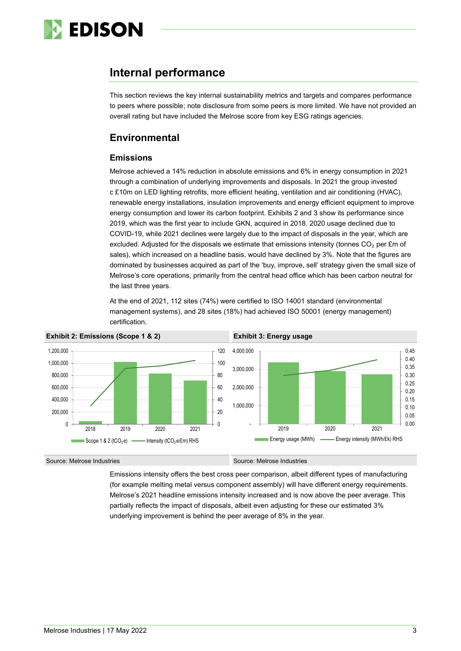

# **Internal performance**

This section reviews the key internal sustainability metrics and targets and compares performance to peers where possible; note disclosure from some peers is more limited. We have not provided an overall rating but have included the Melrose score from key ESG ratings agencies.

# **Environmental**

## **Emissions**

Melrose achieved a 14% reduction in absolute emissions and 6% in energy consumption in 2021 through a combination of underlying improvements and disposals. In 2021 the group invested c £10m on LED lighting retrofits, more efficient heating, ventilation and air conditioning (HVAC), renewable energy installations, insulation improvements and energy efficient equipment to improve energy consumption and lower its carbon footprint. Exhibits 2 and 3 show its performance since 2019, which was the first year to include GKN, acquired in 2018. 2020 usage declined due to COVID-19, while 2021 declines were largely due to the impact of disposals in the year, which are excluded. Adjusted for the disposals we estimate that emissions intensity (tonnes  $CO<sub>2</sub>$  per £m of sales), which increased on a headline basis, would have declined by 3%. Note that the figures are dominated by businesses acquired as part of the 'buy, improve, sell' strategy given the small size of Melrose's core operations, primarily from the central head office which has been carbon neutral for the last three years.

At the end of 2021, 112 sites (74%) were certified to ISO 14001 standard (environmental management systems), and 28 sites (18%) had achieved ISO 50001 (energy management) certification.



Source: Melrose Industries **Source: Melrose Industries** Source: Melrose Industries

Emissions intensity offers the best cross peer comparison, albeit different types of manufacturing (for example melting metal versus component assembly) will have different energy requirements. Melrose's 2021 headline emissions intensity increased and is now above the peer average. This partially reflects the impact of disposals, albeit even adjusting for these our estimated 3% underlying improvement is behind the peer average of 8% in the year.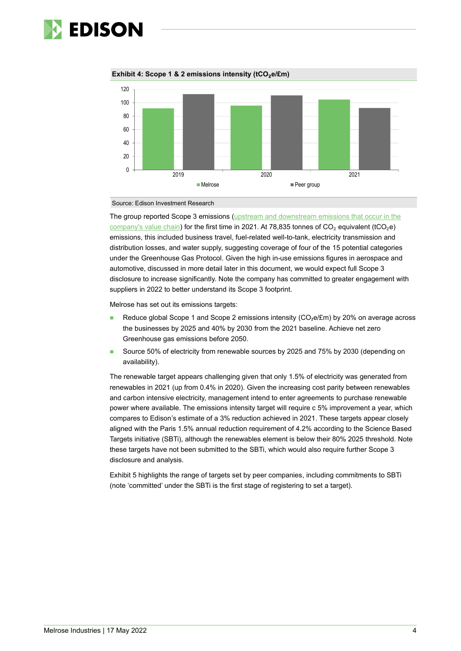

 $\theta$ 20 40 60 80 100 120 2019 2020 2021 ■ Melrose Network Network Network Network Network Network Network Network Network Network Network Network Network Network Network Network Network Network Network Network Network Network Network Network Network Network Net



Source: Edison Investment Research

The group reported Scope 3 emissions [\(upstream and downstream emissions that occur in the](https://ghgprotocol.org/sites/default/files/standards_supporting/Intro_GHGP_Tech.pdf)  [company's value chain\)](https://ghgprotocol.org/sites/default/files/standards_supporting/Intro_GHGP_Tech.pdf) for the first time in 2021. At 78,835 tonnes of CO<sub>2</sub> equivalent (tCO<sub>2</sub>e) emissions, this included business travel, fuel-related well-to-tank, electricity transmission and distribution losses, and water supply, suggesting coverage of four of the 15 potential categories under the Greenhouse Gas Protocol. Given the high in-use emissions figures in aerospace and automotive, discussed in more detail later in this document, we would expect full Scope 3 disclosure to increase significantly. Note the company has committed to greater engagement with suppliers in 2022 to better understand its Scope 3 footprint.

Melrose has set out its emissions targets:

- Reduce global Scope 1 and Scope 2 emissions intensity (CO<sub>2</sub>e/£m) by 20% on average across the businesses by 2025 and 40% by 2030 from the 2021 baseline. Achieve net zero Greenhouse gas emissions before 2050.
- Source 50% of electricity from renewable sources by 2025 and 75% by 2030 (depending on availability).

The renewable target appears challenging given that only 1.5% of electricity was generated from renewables in 2021 (up from 0.4% in 2020). Given the increasing cost parity between renewables and carbon intensive electricity, management intend to enter agreements to purchase renewable power where available. The emissions intensity target will require c 5% improvement a year, which compares to Edison's estimate of a 3% reduction achieved in 2021. These targets appear closely aligned with the Paris 1.5% annual reduction requirement of 4.2% according to the Science Based Targets initiative (SBTi), although the renewables element is below their 80% 2025 threshold. Note these targets have not been submitted to the SBTi, which would also require further Scope 3 disclosure and analysis.

Exhibit 5 highlights the range of targets set by peer companies, including commitments to SBTi (note 'committed' under the SBTi is the first stage of registering to set a target).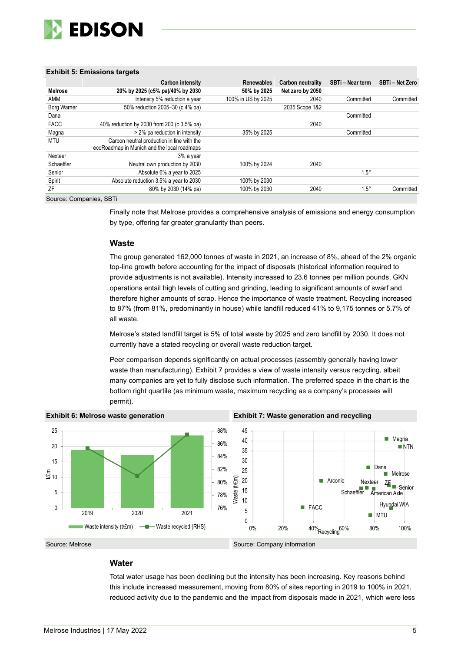

#### **Exhibit 5: Emissions targets**

|                    | Carbon intensity                                                                          | <b>Renewables</b>  | Carbon neutrality | SBTi - Near term | SBTi - Net Zero |
|--------------------|-------------------------------------------------------------------------------------------|--------------------|-------------------|------------------|-----------------|
| Melrose            | 20% by 2025 (c5% pa)/40% by 2030                                                          | 50% by 2025        | Net zero by 2050  |                  |                 |
| AMM                | Intensity 5% reduction a year                                                             | 100% in US by 2025 | 2040              | Committed        | Committed       |
| <b>Borg Warner</b> | 50% reduction 2005-30 (c 4% pa)                                                           |                    | 2035 Scope 1&2    |                  |                 |
| Dana               |                                                                                           |                    |                   | Committed        |                 |
| <b>FACC</b>        | 40% reduction by 2030 from 200 (c 3.5% pa)                                                |                    | 2040              |                  |                 |
| Magna              | > 2% pa reduction in intensity                                                            | 35% by 2025        |                   | Committed        |                 |
| MTU                | Carbon neutral production in line with the<br>ecoRoadmap in Munich and the local roadmaps |                    |                   |                  |                 |
| Nexteer            | 3% a year                                                                                 |                    |                   |                  |                 |
| Schaeffler         | Neutral own production by 2030                                                            | 100% by 2024       | 2040              |                  |                 |
| Senior             | Absolute 6% a year to 2025                                                                |                    |                   | $1.5^\circ$      |                 |
| Spirit             | Absolute reduction 3.5% a year to 2030                                                    | 100% by 2030       |                   |                  |                 |
| ΖF                 | 80% by 2030 (14% pa)                                                                      | 100% by 2030       | 2040              | $1.5^\circ$      | Committed       |

Source: Companies, SBTi

Finally note that Melrose provides a comprehensive analysis of emissions and energy consumption by type, offering far greater granularity than peers.

#### **Waste**

The group generated 162,000 tonnes of waste in 2021, an increase of 8%, ahead of the 2% organic top-line growth before accounting for the impact of disposals (historical information required to provide adjustments is not available). Intensity increased to 23.6 tonnes per million pounds. GKN operations entail high levels of cutting and grinding, leading to significant amounts of swarf and therefore higher amounts of scrap. Hence the importance of waste treatment. Recycling increased to 87% (from 81%, predominantly in house) while landfill reduced 41% to 9,175 tonnes or 5.7% of all waste.

Melrose's stated landfill target is 5% of total waste by 2025 and zero landfill by 2030. It does not currently have a stated recycling or overall waste reduction target.

Peer comparison depends significantly on actual processes (assembly generally having lower waste than manufacturing). Exhibit 7 provides a view of waste intensity versus recycling, albeit many companies are yet to fully disclose such information. The preferred space in the chart is the bottom right quartile (as minimum waste, maximum recycling as a company's processes will permit).



Source: Melrose Source: Company information

## **Water**

Total water usage has been declining but the intensity has been increasing. Key reasons behind this include increased measurement, moving from 80% of sites reporting in 2019 to 100% in 2021, reduced activity due to the pandemic and the impact from disposals made in 2021, which were less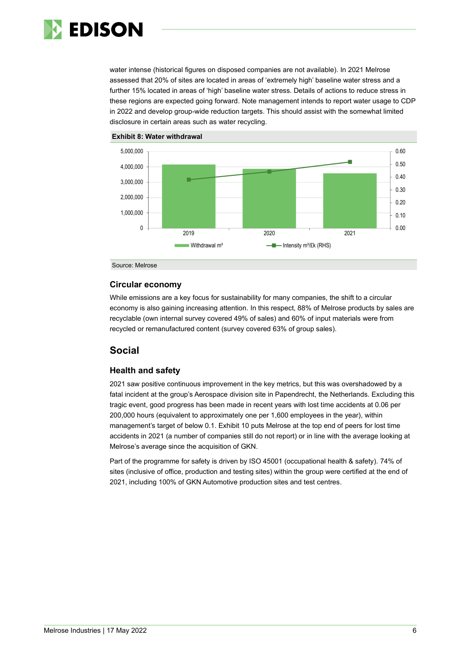

water intense (historical figures on disposed companies are not available). In 2021 Melrose assessed that 20% of sites are located in areas of 'extremely high' baseline water stress and a further 15% located in areas of 'high' baseline water stress. Details of actions to reduce stress in these regions are expected going forward. Note management intends to report water usage to CDP in 2022 and develop group-wide reduction targets. This should assist with the somewhat limited disclosure in certain areas such as water recycling.





Source: Melrose

#### **Circular economy**

While emissions are a key focus for sustainability for many companies, the shift to a circular economy is also gaining increasing attention. In this respect, 88% of Melrose products by sales are recyclable (own internal survey covered 49% of sales) and 60% of input materials were from recycled or remanufactured content (survey covered 63% of group sales).

## **Social**

## **Health and safety**

2021 saw positive continuous improvement in the key metrics, but this was overshadowed by a fatal incident at the group's Aerospace division site in Papendrecht, the Netherlands. Excluding this tragic event, good progress has been made in recent years with lost time accidents at 0.06 per 200,000 hours (equivalent to approximately one per 1,600 employees in the year), within management's target of below 0.1. Exhibit 10 puts Melrose at the top end of peers for lost time accidents in 2021 (a number of companies still do not report) or in line with the average looking at Melrose's average since the acquisition of GKN.

Part of the programme for safety is driven by ISO 45001 (occupational health & safety). 74% of sites (inclusive of office, production and testing sites) within the group were certified at the end of 2021, including 100% of GKN Automotive production sites and test centres.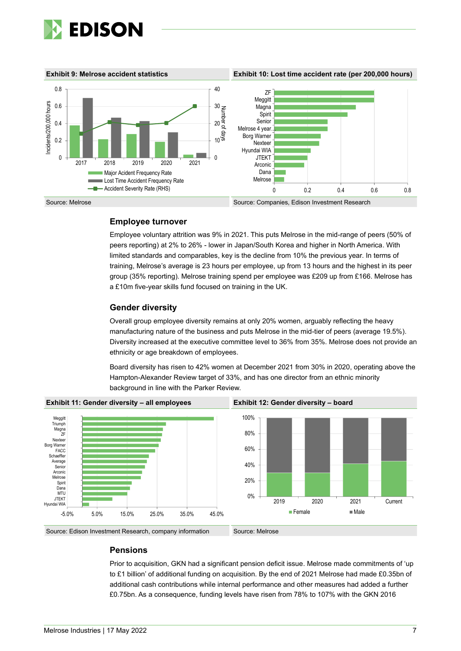

**Exhibit 9: Melrose accident statistics Exhibit 10: Lost time accident rate (per 200,000 hours)**



## **Employee turnover**

Employee voluntary attrition was 9% in 2021. This puts Melrose in the mid-range of peers (50% of peers reporting) at 2% to 26% - lower in Japan/South Korea and higher in North America. With limited standards and comparables, key is the decline from 10% the previous year. In terms of training, Melrose's average is 23 hours per employee, up from 13 hours and the highest in its peer group (35% reporting). Melrose training spend per employee was £209 up from £166. Melrose has a £10m five-year skills fund focused on training in the UK.

## **Gender diversity**

Overall group employee diversity remains at only 20% women, arguably reflecting the heavy manufacturing nature of the business and puts Melrose in the mid-tier of peers (average 19.5%). Diversity increased at the executive committee level to 36% from 35%. Melrose does not provide an ethnicity or age breakdown of employees.

Board diversity has risen to 42% women at December 2021 from 30% in 2020, operating above the Hampton-Alexander Review target of 33%, and has one director from an ethnic minority background in line with the Parker Review.



#### **Pensions**

Prior to acquisition, GKN had a significant pension deficit issue. Melrose made commitments of 'up to £1 billion' of additional funding on acquisition. By the end of 2021 Melrose had made £0.35bn of additional cash contributions while internal performance and other measures had added a further £0.75bn. As a consequence, funding levels have risen from 78% to 107% with the GKN 2016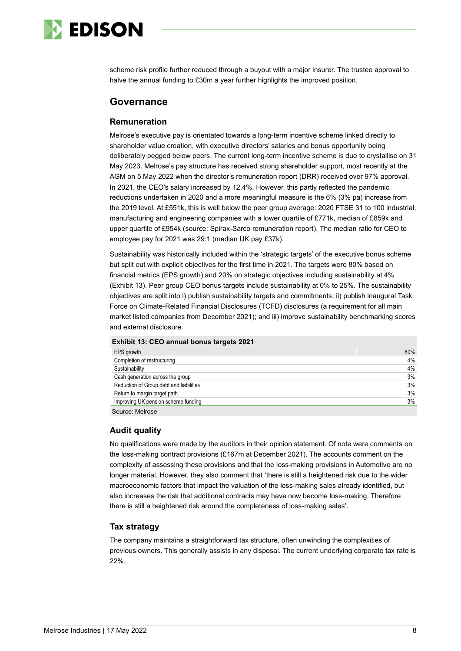

scheme risk profile further reduced through a buyout with a major insurer. The trustee approval to halve the annual funding to £30m a year further highlights the improved position.

## **Governance**

#### **Remuneration**

Melrose's executive pay is orientated towards a long-term incentive scheme linked directly to shareholder value creation, with executive directors' salaries and bonus opportunity being deliberately pegged below peers. The current long-term incentive scheme is due to crystallise on 31 May 2023. Melrose's pay structure has received strong shareholder support, most recently at the AGM on 5 May 2022 when the director's remuneration report (DRR) received over 97% approval. In 2021, the CEO's salary increased by 12.4%. However, this partly reflected the pandemic reductions undertaken in 2020 and a more meaningful measure is the 6% (3% pa) increase from the 2019 level. At £551k, this is well below the peer group average: 2020 FTSE 31 to 100 industrial, manufacturing and engineering companies with a lower quartile of £771k, median of £859k and upper quartile of £954k (source: Spirax-Sarco remuneration report). The median ratio for CEO to employee pay for 2021 was 29:1 (median UK pay £37k).

Sustainability was historically included within the 'strategic targets' of the executive bonus scheme but split out with explicit objectives for the first time in 2021. The targets were 80% based on financial metrics (EPS growth) and 20% on strategic objectives including sustainability at 4% (Exhibit 13). Peer group CEO bonus targets include sustainability at 0% to 25%. The sustainability objectives are split into i) publish sustainability targets and commitments; ii) publish inaugural Task Force on Climate-Related Financial Disclosures (TCFD) disclosures (a requirement for all main market listed companies from December 2021); and iii) improve sustainability benchmarking scores and external disclosure.

| EPS growth                              | 80% |
|-----------------------------------------|-----|
| Completion of restructuring             | 4%  |
| Sustainability                          | 4%  |
| Cash generation across the group        | 3%  |
| Reduction of Group debt and liabilities | 3%  |
| Return to margin target path            | 3%  |
| Improving UK pension scheme funding     | 3%  |
| Source: Melrose                         |     |

### **Audit quality**

No qualifications were made by the auditors in their opinion statement. Of note were comments on the loss-making contract provisions (£167m at December 2021). The accounts comment on the complexity of assessing these provisions and that the loss-making provisions in Automotive are no longer material. However, they also comment that 'there is still a heightened risk due to the wider macroeconomic factors that impact the valuation of the loss-making sales already identified, but also increases the risk that additional contracts may have now become loss-making. Therefore there is still a heightened risk around the completeness of loss-making sales'.

#### **Tax strategy**

The company maintains a straightforward tax structure, often unwinding the complexities of previous owners. This generally assists in any disposal. The current underlying corporate tax rate is 22%.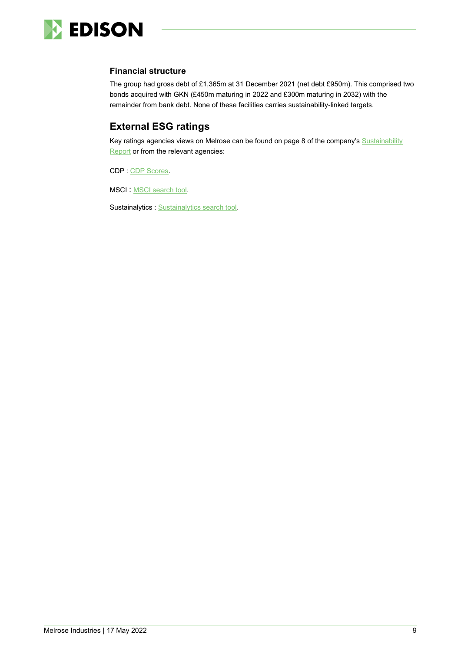

## **Financial structure**

The group had gross debt of £1,365m at 31 December 2021 (net debt £950m). This comprised two bonds acquired with GKN (£450m maturing in 2022 and £300m maturing in 2032) with the remainder from bank debt. None of these facilities carries sustainability-linked targets.

# **External ESG ratings**

Key ratings agencies views on Melrose can be found on page 8 of the company's [Sustainability](https://www.melroseplc.net/media/2865/melrose-industries-2021-sustainability-report.pdf)  [Report](https://www.melroseplc.net/media/2865/melrose-industries-2021-sustainability-report.pdf) or from the relevant agencies:

CDP : [CDP Scores.](https://www.cdp.net/en/scores)

MSCI : [MSCI search tool.](https://www.msci.com/research-and-insights/esg-ratings-corporate-search-tool)

Sustainalytics : [Sustainalytics search tool.](https://www.sustainalytics.com/esg-ratings?utm_term=esg%20and%20risk&utm_campaign=Shared+-+ESG+Risk+Rating+Public+Page+-+July+2020&utm_source=adwords&utm_medium=ppc&hsa_acc=4619360780&hsa_cam=10594802130&hsa_grp=128565810195&hsa_ad=548857242386&hsa_src=g&hsa_tgt=aud-1133441867712:kwd-1082496989751&hsa_kw=esg%20and%20risk&hsa_mt=b&hsa_net=adwords&hsa_ver=3&gclid=Cj0KCQjwma6TBhDIARIsAOKuANylaoR_teCNg7u3FFbKeqLFRBNFIfQ6ztDmdsZ92zqw7p25PBnQT1EaAon8EALw_wcB)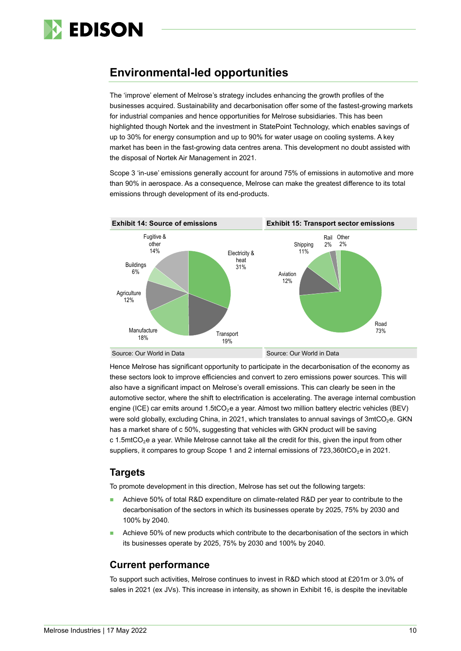

# **Environmental-led opportunities**

The 'improve' element of Melrose's strategy includes enhancing the growth profiles of the businesses acquired. Sustainability and decarbonisation offer some of the fastest-growing markets for industrial companies and hence opportunities for Melrose subsidiaries. This has been highlighted though Nortek and the investment in StatePoint Technology, which enables savings of up to 30% for energy consumption and up to 90% for water usage on cooling systems. A key market has been in the fast-growing data centres arena. This development no doubt assisted with the disposal of Nortek Air Management in 2021.

Scope 3 'in-use' emissions generally account for around 75% of emissions in automotive and more than 90% in aerospace. As a consequence, Melrose can make the greatest difference to its total emissions through development of its end-products.



Hence Melrose has significant opportunity to participate in the decarbonisation of the economy as these sectors look to improve efficiencies and convert to zero emissions power sources. This will also have a significant impact on Melrose's overall emissions. This can clearly be seen in the automotive sector, where the shift to electrification is accelerating. The average internal combustion engine (ICE) car emits around 1.5tCO<sub>2</sub>e a year. Almost two million battery electric vehicles (BEV) were sold globally, excluding China, in 2021, which translates to annual savings of 3mtCO<sub>2</sub>e. GKN has a market share of c 50%, suggesting that vehicles with GKN product will be saving c 1.5mtCO<sub>2</sub>e a year. While Melrose cannot take all the credit for this, given the input from other suppliers, it compares to group Scope 1 and 2 internal emissions of 723,360tCO<sub>2</sub>e in 2021.

## **Targets**

To promote development in this direction, Melrose has set out the following targets:

- Achieve 50% of total R&D expenditure on climate-related R&D per year to contribute to the decarbonisation of the sectors in which its businesses operate by 2025, 75% by 2030 and 100% by 2040.
- Achieve 50% of new products which contribute to the decarbonisation of the sectors in which its businesses operate by 2025, 75% by 2030 and 100% by 2040.

# **Current performance**

To support such activities, Melrose continues to invest in R&D which stood at £201m or 3.0% of sales in 2021 (ex JVs). This increase in intensity, as shown in Exhibit 16, is despite the inevitable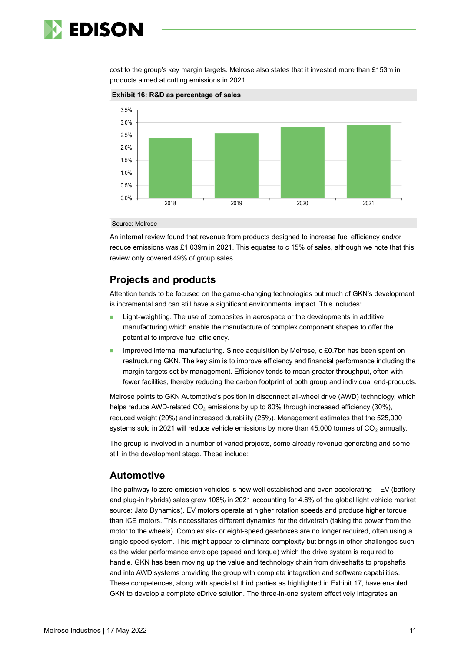

cost to the group's key margin targets. Melrose also states that it invested more than £153m in products aimed at cutting emissions in 2021.



**Exhibit 16: R&D as percentage of sales**

Source: Melrose

An internal review found that revenue from products designed to increase fuel efficiency and/or reduce emissions was £1,039m in 2021. This equates to c 15% of sales, although we note that this review only covered 49% of group sales.

# **Projects and products**

Attention tends to be focused on the game-changing technologies but much of GKN's development is incremental and can still have a significant environmental impact. This includes:

- Light-weighting. The use of composites in aerospace or the developments in additive manufacturing which enable the manufacture of complex component shapes to offer the potential to improve fuel efficiency.
- Improved internal manufacturing. Since acquisition by Melrose, c £0.7bn has been spent on restructuring GKN. The key aim is to improve efficiency and financial performance including the margin targets set by management. Efficiency tends to mean greater throughput, often with fewer facilities, thereby reducing the carbon footprint of both group and individual end-products.

Melrose points to GKN Automotive's position in disconnect all-wheel drive (AWD) technology, which helps reduce AWD-related  $CO<sub>2</sub>$  emissions by up to 80% through increased efficiency (30%), reduced weight (20%) and increased durability (25%). Management estimates that the 525,000 systems sold in 2021 will reduce vehicle emissions by more than 45,000 tonnes of CO<sub>2</sub> annually.

The group is involved in a number of varied projects, some already revenue generating and some still in the development stage. These include:

## **Automotive**

The pathway to zero emission vehicles is now well established and even accelerating – EV (battery and plug-in hybrids) sales grew 108% in 2021 accounting for 4.6% of the global light vehicle market source: Jato Dynamics). EV motors operate at higher rotation speeds and produce higher torque than ICE motors. This necessitates different dynamics for the drivetrain (taking the power from the motor to the wheels). Complex six- or eight-speed gearboxes are no longer required, often using a single speed system. This might appear to eliminate complexity but brings in other challenges such as the wider performance envelope (speed and torque) which the drive system is required to handle. GKN has been moving up the value and technology chain from driveshafts to propshafts and into AWD systems providing the group with complete integration and software capabilities. These competences, along with specialist third parties as highlighted in Exhibit 17, have enabled GKN to develop a complete eDrive solution. The three-in-one system effectively integrates an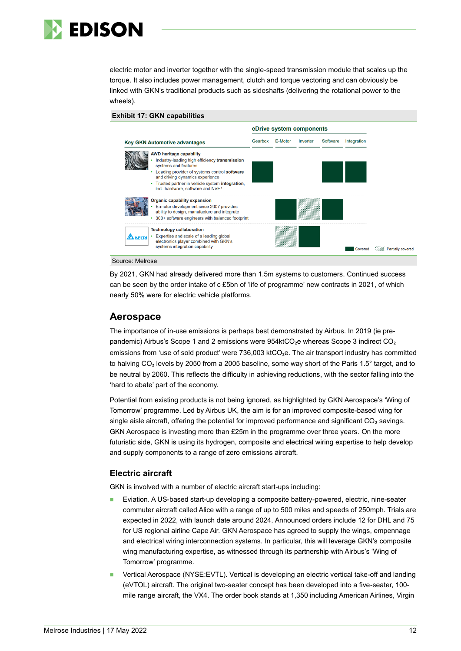

electric motor and inverter together with the single-speed transmission module that scales up the torque. It also includes power management, clutch and torque vectoring and can obviously be linked with GKN's traditional products such as sideshafts (delivering the rotational power to the wheels).

**Exhibit 17: GKN capabilities**



Source: Melrose

By 2021, GKN had already delivered more than 1.5m systems to customers. Continued success can be seen by the order intake of c £5bn of 'life of programme' new contracts in 2021, of which nearly 50% were for electric vehicle platforms.

## **Aerospace**

The importance of in-use emissions is perhaps best demonstrated by Airbus. In 2019 (ie prepandemic) Airbus's Scope 1 and 2 emissions were 954ktCO<sub>2</sub>e whereas Scope 3 indirect CO<sub>2</sub> emissions from 'use of sold product' were 736,003 ktCO<sub>2</sub>e. The air transport industry has committed to halving CO<sub>2</sub> levels by 2050 from a 2005 baseline, some way short of the Paris 1.5° target, and to be neutral by 2060. This reflects the difficulty in achieving reductions, with the sector falling into the 'hard to abate' part of the economy.

Potential from existing products is not being ignored, as highlighted by GKN Aerospace's 'Wing of Tomorrow' programme. Led by Airbus UK, the aim is for an improved composite-based wing for single aisle aircraft, offering the potential for improved performance and significant CO<sub>2</sub> savings. GKN Aerospace is investing more than £25m in the programme over three years. On the more futuristic side, GKN is using its hydrogen, composite and electrical wiring expertise to help develop and supply components to a range of zero emissions aircraft.

#### **Electric aircraft**

GKN is involved with a number of electric aircraft start-ups including:

- Eviation. A US-based start-up developing a composite battery-powered, electric, nine-seater commuter aircraft called Alice with a range of up to 500 miles and speeds of 250mph. Trials are expected in 2022, with launch date around 2024. Announced orders include 12 for DHL and 75 for US regional airline Cape Air. GKN Aerospace has agreed to supply the wings, empennage and electrical wiring interconnection systems. In particular, this will leverage GKN's composite wing manufacturing expertise, as witnessed through its partnership with Airbus's 'Wing of Tomorrow' programme.
- Vertical Aerospace (NYSE:EVTL). Vertical is developing an electric vertical take-off and landing (eVTOL) aircraft. The original two-seater concept has been developed into a five-seater, 100 mile range aircraft, the VX4. The order book stands at 1,350 including American Airlines, Virgin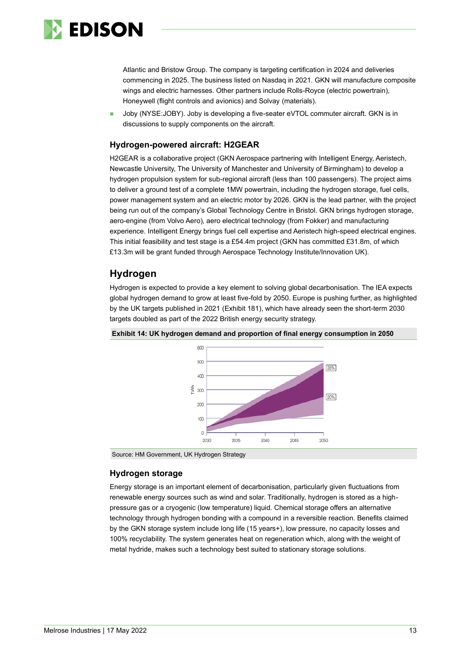

Atlantic and Bristow Group. The company is targeting certification in 2024 and deliveries commencing in 2025. The business listed on Nasdaq in 2021. GKN will manufacture composite wings and electric harnesses. Other partners include Rolls-Royce (electric powertrain), Honeywell (flight controls and avionics) and Solvay (materials).

Joby (NYSE:JOBY). Joby is developing a five-seater eVTOL commuter aircraft. GKN is in discussions to supply components on the aircraft.

## **Hydrogen-powered aircraft: H2GEAR**

H2GEAR is a collaborative project (GKN Aerospace partnering with Intelligent Energy, Aeristech, Newcastle University, The University of Manchester and University of Birmingham) to develop a hydrogen propulsion system for sub-regional aircraft (less than 100 passengers). The project aims to deliver a ground test of a complete 1MW powertrain, including the hydrogen storage, fuel cells, power management system and an electric motor by 2026. GKN is the lead partner, with the project being run out of the company's Global Technology Centre in Bristol. GKN brings hydrogen storage, aero-engine (from Volvo Aero), aero electrical technology (from Fokker) and manufacturing experience. Intelligent Energy brings fuel cell expertise and Aeristech high-speed electrical engines. This initial feasibility and test stage is a £54.4m project (GKN has committed £31.8m, of which £13.3m will be grant funded through Aerospace Technology Institute/Innovation UK).

## **Hydrogen**

Hydrogen is expected to provide a key element to solving global decarbonisation. The IEA expects global hydrogen demand to grow at least five-fold by 2050. Europe is pushing further, as highlighted by the UK targets published in 2021 (Exhibit 181), which have already seen the short-term 2030 targets doubled as part of the 2022 British energy security strategy.





Source: HM Government, UK Hydrogen Strategy

#### **Hydrogen storage**

Energy storage is an important element of decarbonisation, particularly given fluctuations from renewable energy sources such as wind and solar. Traditionally, hydrogen is stored as a highpressure gas or a cryogenic (low temperature) liquid. Chemical storage offers an alternative technology through hydrogen bonding with a compound in a reversible reaction. Benefits claimed by the GKN storage system include long life (15 years+), low pressure, no capacity losses and 100% recyclability. The system generates heat on regeneration which, along with the weight of metal hydride, makes such a technology best suited to stationary storage solutions.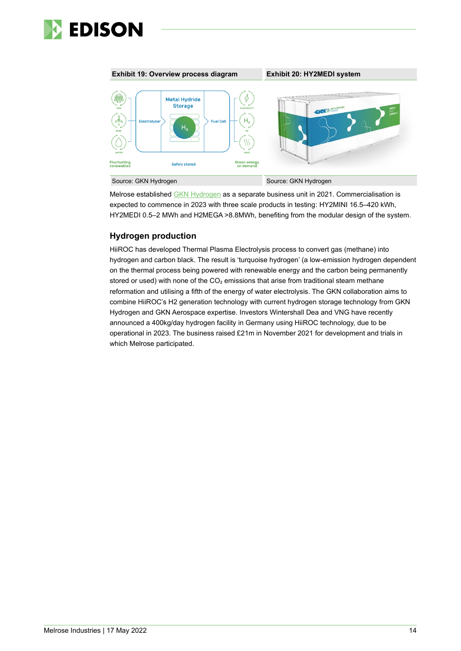



Melrose established GKN [Hydrogen](https://www.gknhydrogen.com/) as a separate business unit in 2021. Commercialisation is expected to commence in 2023 with three scale products in testing: HY2MINI 16.5–420 kWh, HY2MEDI 0.5–2 MWh and H2MEGA >8.8MWh, benefiting from the modular design of the system.

## **Hydrogen production**

HiiROC has developed Thermal Plasma Electrolysis process to convert gas (methane) into hydrogen and carbon black. The result is 'turquoise hydrogen' (a low-emission hydrogen dependent on the thermal process being powered with renewable energy and the carbon being permanently stored or used) with none of the  $CO<sub>2</sub>$  emissions that arise from traditional steam methane reformation and utilising a fifth of the energy of water electrolysis. The GKN collaboration aims to combine HiiROC's H2 generation technology with current hydrogen storage technology from GKN Hydrogen and GKN Aerospace expertise. Investors Wintershall Dea and VNG have recently announced a 400kg/day hydrogen facility in Germany using HiiROC technology, due to be operational in 2023. The business raised £21m in November 2021 for development and trials in which Melrose participated.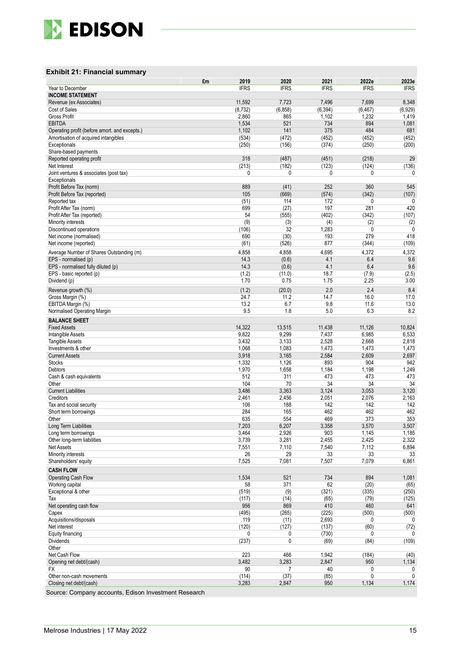

#### **Exhibit 2 1 : Financial summary**

|                                               | £m | 2019               | 2020              | 2021              | 2022e             | 2023e               |
|-----------------------------------------------|----|--------------------|-------------------|-------------------|-------------------|---------------------|
| Year to December                              |    | <b>IFRS</b>        | <b>IFRS</b>       | <b>IFRS</b>       | <b>IFRS</b>       | <b>IFRS</b>         |
| <b>INCOME STATEMENT</b>                       |    |                    |                   |                   |                   |                     |
| Revenue (ex Associates)<br>Cost of Sales      |    | 11,592<br>(8, 732) | 7,723<br>(6, 858) | 7,496<br>(6, 394) | 7,699<br>(6, 467) | 8,348<br>(6,929)    |
| Gross Profit                                  |    | 2,860              | 865               | 1,102             | 1,232             | 1,419               |
| <b>EBITDA</b>                                 |    | 1,534              | 521               | 734               | 894               | 1,081               |
| Operating profit (before amort. and excepts.) |    | 1,102              | 141               | 375               | 484               | 681                 |
| Amortisation of acquired intangibles          |    | (534)              | (472)             | (452)             | (452)             | (452)               |
| Exceptionals                                  |    | (250)              | (156)             | (374)             | (250)             | (200)               |
| Share-based payments                          |    |                    |                   |                   |                   |                     |
| Reported operating profit<br>Net Interest     |    | 318<br>(213)       | (487)<br>(182)    | (451)<br>(123)    | (218)<br>(124)    | 29<br>(136)         |
| Joint ventures & associates (post tax)        |    | 0                  | 0                 | 0                 | 0                 | 0                   |
| Exceptionals                                  |    |                    |                   |                   |                   |                     |
| Profit Before Tax (norm)                      |    | 889                | (41)              | 252               | 360               | 545                 |
| Profit Before Tax (reported)                  |    | 105                | (669)             | (574)             | (342)             | (107)               |
| Reported tax                                  |    | (51)               | 114               | 172               | 0                 | 0                   |
| Profit After Tax (norm)                       |    | 699                | (27)              | 197               | 281               | 420                 |
| Profit After Tax (reported)                   |    | 54                 | (555)             | (402)             | (342)             | (107)               |
| Minority interests<br>Discontinued operations |    | (9)<br>(106)       | (3)<br>32         | (4)<br>1,283      | (2)<br>0          | (2)<br>$\mathbf{0}$ |
| Net income (normalised)                       |    | 690                | (30)              | 193               | 279               | 418                 |
| Net income (reported)                         |    | (61)               | (526)             | 877               | (344)             | (109)               |
| Average Number of Shares Outstanding (m)      |    | 4,858              | 4,858             | 4,695             | 4,372             | 4,372               |
| EPS - normalised (p)                          |    | 14.3               | (0.6)             | 4.1               | 6.4               | 9.6                 |
| EPS - normalised fully diluted (p)            |    | 14.3               | (0.6)             | 4.1               | 6.4               | 9.6                 |
| EPS - basic reported (p)                      |    | (1.2)              | (11.0)            | 18.7              | (7.9)             | (2.5)               |
| Dividend (p)                                  |    | 1.70               | 0.75              | 1.75              | 2.25              | 3.00                |
| Revenue growth (%)                            |    | (1.2)              | (20.0)            | 2.0               | 2.4               | 8.4                 |
| Gross Margin (%)                              |    | 24.7               | 11.2              | 14.7              | 16.0              | 17.0                |
| EBITDA Margin (%)                             |    | 13.2               | 6.7               | 9.8               | 11.6              | 13.0                |
| Normalised Operating Margin                   |    | 9.5                | 1.8               | 5.0               | 6.3               | 8.2                 |
| <b>BALANCE SHEET</b>                          |    |                    |                   |                   |                   |                     |
| <b>Fixed Assets</b>                           |    | 14,322             | 13,515            | 11,438            | 11,126            | 10,824              |
| Intangible Assets                             |    | 9.822              | 9,299             | 7,437             | 6,985             | 6,533               |
| Tangible Assets                               |    | 3,432              | 3,133             | 2,528             | 2,668             | 2,818               |
| Investments & other<br><b>Current Assets</b>  |    | 1,068<br>3,918     | 1,083<br>3,165    | 1,473<br>2,584    | 1,473<br>2,609    | 1,473<br>2,697      |
| <b>Stocks</b>                                 |    | 1,332              | 1,126             | 893               | 904               | 942                 |
| Debtors                                       |    | 1,970              | 1,658             | 1,184             | 1,198             | 1,249               |
| Cash & cash equivalents                       |    | 512                | 311               | 473               | 473               | 473                 |
| Other                                         |    | 104                | 70                | 34                | 34                | 34                  |
| <b>Current Liabilities</b>                    |    | 3,486              | 3,363             | 3,124             | 3,053             | 3,120               |
| Creditors                                     |    | 2,461              | 2,456             | 2,051             | 2,076             | 2,163               |
| Tax and social security                       |    | 106                | 188               | 142               | 142               | 142                 |
| Short term borrowings<br>Other                |    | 284<br>635         | 165<br>554        | 462<br>469        | 462<br>373        | 462<br>353          |
| Long Term Liabilities                         |    | 7,203              | 6,207             | 3,358             | 3,570             | 3,507               |
| Long term borrowings                          |    | 3,464              | 2,926             | 903               | 1,145             | 1,185               |
| Other long-term liabilities                   |    | 3,739              | 3,281             | 2,455             | 2,425             | 2,322               |
| <b>Net Assets</b>                             |    | 7,551              | 7,110             | 7,540             | 7,112             | 6,894               |
| Minority interests                            |    | 26                 | 29                | 33                | 33                | 33                  |
| Shareholders' equity                          |    | 7,525              | 7,081             | 7,507             | 7,079             | 6,861               |
| <b>CASH FLOW</b>                              |    |                    |                   |                   |                   |                     |
| Operating Cash Flow                           |    | 1,534              | 521               | 734               | 894               | 1,081               |
| Working capital<br>Exceptional & other        |    | 58                 | 371               | 62                | (20)              | (65)                |
| Tax                                           |    | (519)<br>(117)     | (9)<br>(14)       | (321)<br>(65)     | (335)<br>(79)     | (250)<br>(125)      |
| Net operating cash flow                       |    | 956                | 869               | 410               | 460               | 641                 |
| Capex                                         |    | (495)              | (265)             | (225)             | (500)             | (500)               |
| Acquisitions/disposals                        |    | 119                | (11)              | 2,693             | 0                 | 0                   |
| Net interest                                  |    | (120)              | (127)             | (137)             | (60)              | (72)                |
| Equity financing                              |    | 0                  | 0                 | (730)             | 0                 | 0                   |
| Dividends                                     |    | (237)              | 0                 | (69)              | (84)              | (109)               |
| Other                                         |    |                    |                   |                   |                   |                     |
| Net Cash Flow<br>Opening net debt/(cash)      |    | 223<br>3,482       | 466<br>3,283      | 1,942<br>2,847    | (184)<br>950      | (40)<br>1,134       |
| FX                                            |    | 90                 | 7                 | 40                | 0                 | 0                   |
| Other non-cash movements                      |    | (114)              | (37)              | (85)              | 0                 | 0                   |
| Closing net debt/(cash)                       |    | 3,283              | 2,847             | 950               | 1,134             | 1,174               |
|                                               |    |                    |                   |                   |                   |                     |

Source: Company accounts, Edison Investment Research